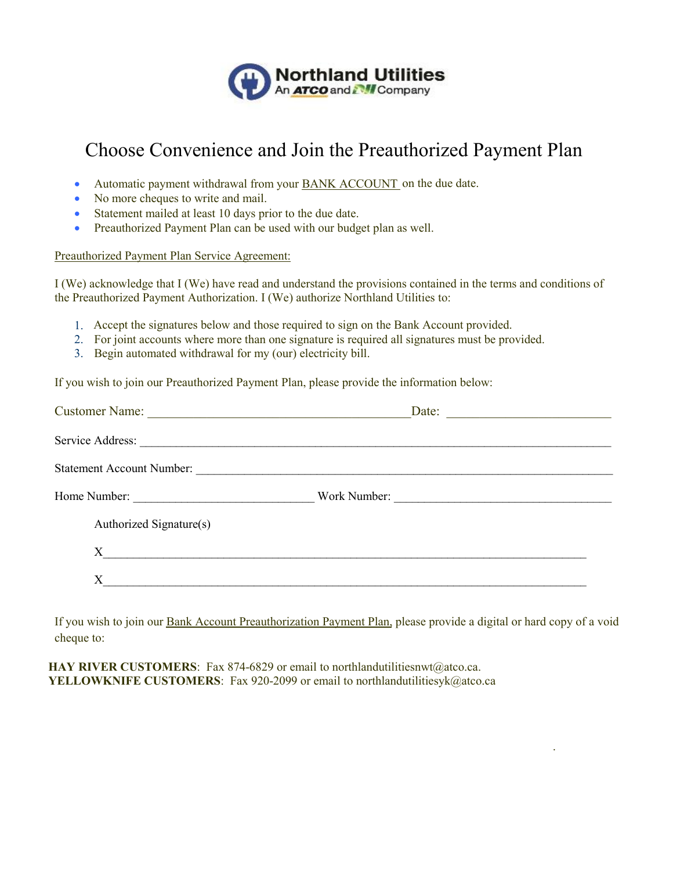

## Choose Convenience and Join the Preauthorized Payment Plan

- Automatic payment withdrawal from your **BANK ACCOUNT** on the due date.
- No more cheques to write and mail.
- Statement mailed at least 10 days prior to the due date.
- Preauthorized Payment Plan can be used with our budget plan as well.

## Preauthorized Payment Plan Service Agreement:

I (We) acknowledge that I (We) have read and understand the provisions contained in the terms and conditions of the Preauthorized Payment Authorization. I (We) authorize Northland Utilities to:

- 1. Accept the signatures below and those required to sign on the Bank Account provided.
- 2. For joint accounts where more than one signature is required all signatures must be provided.
- 3. Begin automated withdrawal for my (our) electricity bill.

If you wish to join our Preauthorized Payment Plan, please provide the information below:

| Customer Name:<br>Date:<br><u> 1980 - Johann John Stein, markin fizzar a shekara 1980 - 1981 - 1982 - 1982 - 1982 - 1982 - 1983 - 1984 - 19</u> |
|-------------------------------------------------------------------------------------------------------------------------------------------------|
|                                                                                                                                                 |
| Statement Account Number:                                                                                                                       |
| Work Number:                                                                                                                                    |
|                                                                                                                                                 |
| $X$ and $\overline{\phantom{X}}$ and $\overline{\phantom{X}}$                                                                                   |
|                                                                                                                                                 |
|                                                                                                                                                 |

If you wish to join our Bank Account Preauthorization Payment Plan, please provide a digital or hard copy of a void cheque to:

.

**HAY RIVER CUSTOMERS:** Fax 874-6829 or email to northlandutilitiesnwt@atco.ca. **YELLOWKNIFE CUSTOMERS**: Fax 920-2099 or email to northlandutilitiesyk@atco.ca